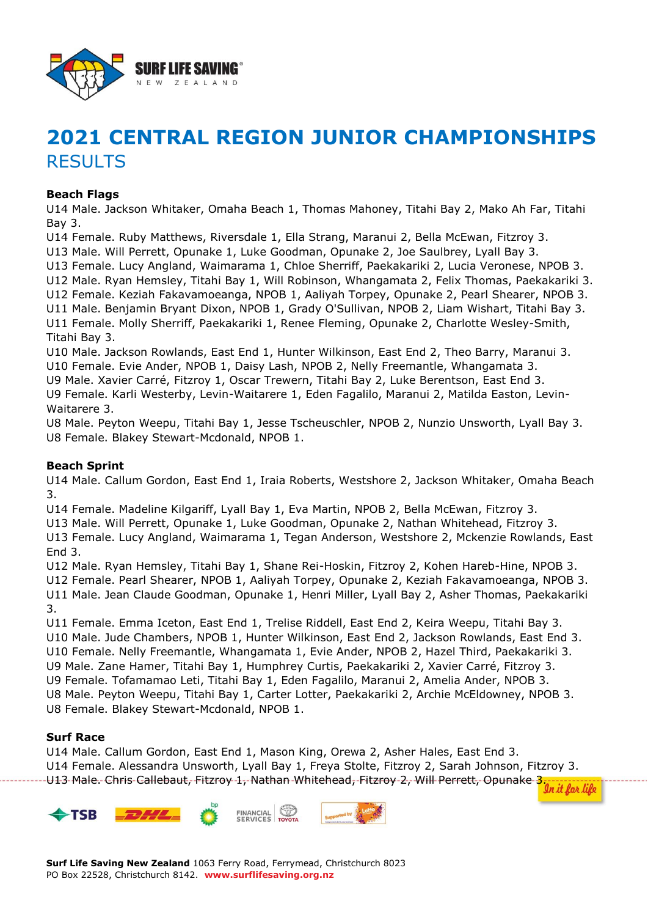

# **2021 CENTRAL REGION JUNIOR CHAMPIONSHIPS** RESULTS

#### **Beach Flags**

U14 Male. Jackson Whitaker, Omaha Beach 1, Thomas Mahoney, Titahi Bay 2, Mako Ah Far, Titahi Bay 3.

U14 Female. Ruby Matthews, Riversdale 1, Ella Strang, Maranui 2, Bella McEwan, Fitzroy 3.

U13 Male. Will Perrett, Opunake 1, Luke Goodman, Opunake 2, Joe Saulbrey, Lyall Bay 3.

U13 Female. Lucy Angland, Waimarama 1, Chloe Sherriff, Paekakariki 2, Lucia Veronese, NPOB 3. U12 Male. Ryan Hemsley, Titahi Bay 1, Will Robinson, Whangamata 2, Felix Thomas, Paekakariki 3.

U12 Female. Keziah Fakavamoeanga, NPOB 1, Aaliyah Torpey, Opunake 2, Pearl Shearer, NPOB 3.

U11 Male. Benjamin Bryant Dixon, NPOB 1, Grady O'Sullivan, NPOB 2, Liam Wishart, Titahi Bay 3. U11 Female. Molly Sherriff, Paekakariki 1, Renee Fleming, Opunake 2, Charlotte Wesley-Smith, Titahi Bay 3.

U10 Male. Jackson Rowlands, East End 1, Hunter Wilkinson, East End 2, Theo Barry, Maranui 3. U10 Female. Evie Ander, NPOB 1, Daisy Lash, NPOB 2, Nelly Freemantle, Whangamata 3.

U9 Male. Xavier Carré, Fitzroy 1, Oscar Trewern, Titahi Bay 2, Luke Berentson, East End 3.

U9 Female. Karli Westerby, Levin-Waitarere 1, Eden Fagalilo, Maranui 2, Matilda Easton, Levin-Waitarere 3.

U8 Male. Peyton Weepu, Titahi Bay 1, Jesse Tscheuschler, NPOB 2, Nunzio Unsworth, Lyall Bay 3. U8 Female. Blakey Stewart-Mcdonald, NPOB 1.

# **Beach Sprint**

U14 Male. Callum Gordon, East End 1, Iraia Roberts, Westshore 2, Jackson Whitaker, Omaha Beach 3.

U14 Female. Madeline Kilgariff, Lyall Bay 1, Eva Martin, NPOB 2, Bella McEwan, Fitzroy 3.

U13 Male. Will Perrett, Opunake 1, Luke Goodman, Opunake 2, Nathan Whitehead, Fitzroy 3. U13 Female. Lucy Angland, Waimarama 1, Tegan Anderson, Westshore 2, Mckenzie Rowlands, East End 3.

U12 Male. Ryan Hemsley, Titahi Bay 1, Shane Rei-Hoskin, Fitzroy 2, Kohen Hareb-Hine, NPOB 3. U12 Female. Pearl Shearer, NPOB 1, Aaliyah Torpey, Opunake 2, Keziah Fakavamoeanga, NPOB 3. U11 Male. Jean Claude Goodman, Opunake 1, Henri Miller, Lyall Bay 2, Asher Thomas, Paekakariki 3.

U11 Female. Emma Iceton, East End 1, Trelise Riddell, East End 2, Keira Weepu, Titahi Bay 3. U10 Male. Jude Chambers, NPOB 1, Hunter Wilkinson, East End 2, Jackson Rowlands, East End 3. U10 Female. Nelly Freemantle, Whangamata 1, Evie Ander, NPOB 2, Hazel Third, Paekakariki 3. U9 Male. Zane Hamer, Titahi Bay 1, Humphrey Curtis, Paekakariki 2, Xavier Carré, Fitzroy 3. U9 Female. Tofamamao Leti, Titahi Bay 1, Eden Fagalilo, Maranui 2, Amelia Ander, NPOB 3. U8 Male. Peyton Weepu, Titahi Bay 1, Carter Lotter, Paekakariki 2, Archie McEldowney, NPOB 3. U8 Female. Blakey Stewart-Mcdonald, NPOB 1.

# **Surf Race**

U14 Male. Callum Gordon, East End 1, Mason King, Orewa 2, Asher Hales, East End 3. U14 Female. Alessandra Unsworth, Lyall Bay 1, Freya Stolte, Fitzroy 2, Sarah Johnson, Fitzroy 3. U14 Fernale. Alessandra Shoroccu, E, S. E., E., E., C., C., Will Perrett, Opunake 3. 2002.<br>U13 Male. Chris Callebaut, Fitzroy 1, Nathan Whitehead, Fitzroy 2, Will Perrett, Opunake 3. 2007.

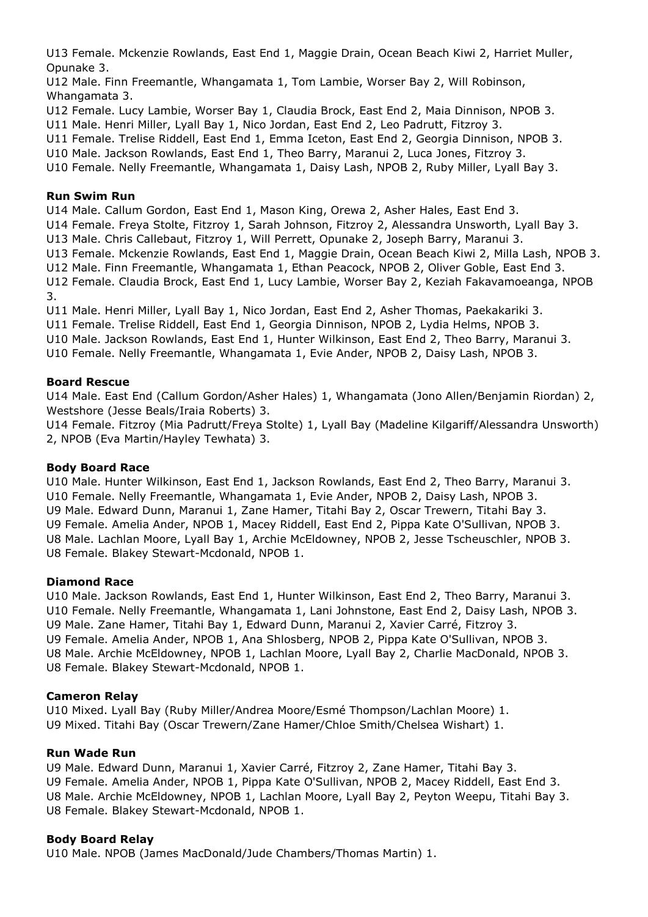U13 Female. Mckenzie Rowlands, East End 1, Maggie Drain, Ocean Beach Kiwi 2, Harriet Muller, Opunake 3.

U12 Male. Finn Freemantle, Whangamata 1, Tom Lambie, Worser Bay 2, Will Robinson, Whangamata 3.

U12 Female. Lucy Lambie, Worser Bay 1, Claudia Brock, East End 2, Maia Dinnison, NPOB 3.

U11 Male. Henri Miller, Lyall Bay 1, Nico Jordan, East End 2, Leo Padrutt, Fitzroy 3.

U11 Female. Trelise Riddell, East End 1, Emma Iceton, East End 2, Georgia Dinnison, NPOB 3.

U10 Male. Jackson Rowlands, East End 1, Theo Barry, Maranui 2, Luca Jones, Fitzroy 3.

U10 Female. Nelly Freemantle, Whangamata 1, Daisy Lash, NPOB 2, Ruby Miller, Lyall Bay 3.

#### **Run Swim Run**

U14 Male. Callum Gordon, East End 1, Mason King, Orewa 2, Asher Hales, East End 3.

U14 Female. Freya Stolte, Fitzroy 1, Sarah Johnson, Fitzroy 2, Alessandra Unsworth, Lyall Bay 3.

U13 Male. Chris Callebaut, Fitzroy 1, Will Perrett, Opunake 2, Joseph Barry, Maranui 3.

U13 Female. Mckenzie Rowlands, East End 1, Maggie Drain, Ocean Beach Kiwi 2, Milla Lash, NPOB 3.

U12 Male. Finn Freemantle, Whangamata 1, Ethan Peacock, NPOB 2, Oliver Goble, East End 3.

U12 Female. Claudia Brock, East End 1, Lucy Lambie, Worser Bay 2, Keziah Fakavamoeanga, NPOB 3.

U11 Male. Henri Miller, Lyall Bay 1, Nico Jordan, East End 2, Asher Thomas, Paekakariki 3.

U11 Female. Trelise Riddell, East End 1, Georgia Dinnison, NPOB 2, Lydia Helms, NPOB 3.

U10 Male. Jackson Rowlands, East End 1, Hunter Wilkinson, East End 2, Theo Barry, Maranui 3.

U10 Female. Nelly Freemantle, Whangamata 1, Evie Ander, NPOB 2, Daisy Lash, NPOB 3.

# **Board Rescue**

U14 Male. East End (Callum Gordon/Asher Hales) 1, Whangamata (Jono Allen/Benjamin Riordan) 2, Westshore (Jesse Beals/Iraia Roberts) 3.

U14 Female. Fitzroy (Mia Padrutt/Freya Stolte) 1, Lyall Bay (Madeline Kilgariff/Alessandra Unsworth) 2, NPOB (Eva Martin/Hayley Tewhata) 3.

# **Body Board Race**

U10 Male. Hunter Wilkinson, East End 1, Jackson Rowlands, East End 2, Theo Barry, Maranui 3. U10 Female. Nelly Freemantle, Whangamata 1, Evie Ander, NPOB 2, Daisy Lash, NPOB 3. U9 Male. Edward Dunn, Maranui 1, Zane Hamer, Titahi Bay 2, Oscar Trewern, Titahi Bay 3. U9 Female. Amelia Ander, NPOB 1, Macey Riddell, East End 2, Pippa Kate O'Sullivan, NPOB 3. U8 Male. Lachlan Moore, Lyall Bay 1, Archie McEldowney, NPOB 2, Jesse Tscheuschler, NPOB 3. U8 Female. Blakey Stewart-Mcdonald, NPOB 1.

# **Diamond Race**

U10 Male. Jackson Rowlands, East End 1, Hunter Wilkinson, East End 2, Theo Barry, Maranui 3. U10 Female. Nelly Freemantle, Whangamata 1, Lani Johnstone, East End 2, Daisy Lash, NPOB 3. U9 Male. Zane Hamer, Titahi Bay 1, Edward Dunn, Maranui 2, Xavier Carré, Fitzroy 3. U9 Female. Amelia Ander, NPOB 1, Ana Shlosberg, NPOB 2, Pippa Kate O'Sullivan, NPOB 3. U8 Male. Archie McEldowney, NPOB 1, Lachlan Moore, Lyall Bay 2, Charlie MacDonald, NPOB 3. U8 Female. Blakey Stewart-Mcdonald, NPOB 1.

# **Cameron Relay**

U10 Mixed. Lyall Bay (Ruby Miller/Andrea Moore/Esmé Thompson/Lachlan Moore) 1. U9 Mixed. Titahi Bay (Oscar Trewern/Zane Hamer/Chloe Smith/Chelsea Wishart) 1.

# **Run Wade Run**

U9 Male. Edward Dunn, Maranui 1, Xavier Carré, Fitzroy 2, Zane Hamer, Titahi Bay 3. U9 Female. Amelia Ander, NPOB 1, Pippa Kate O'Sullivan, NPOB 2, Macey Riddell, East End 3. U8 Male. Archie McEldowney, NPOB 1, Lachlan Moore, Lyall Bay 2, Peyton Weepu, Titahi Bay 3. U8 Female. Blakey Stewart-Mcdonald, NPOB 1.

# **Body Board Relay**

U10 Male. NPOB (James MacDonald/Jude Chambers/Thomas Martin) 1.